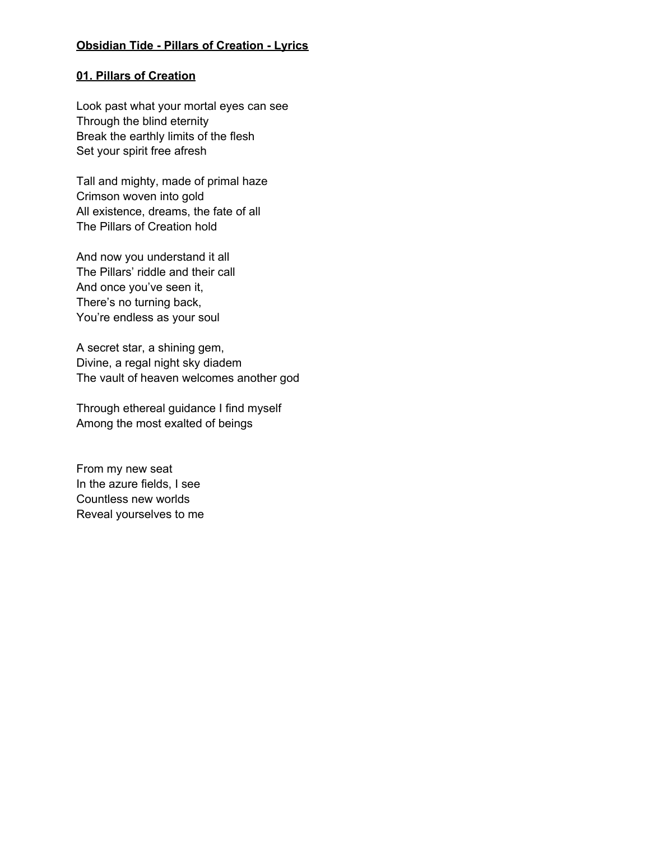## **Obsidian Tide - Pillars of Creation - Lyrics**

### **01. Pillars of Creation**

Look past what your mortal eyes can see Through the blind eternity Break the earthly limits of the flesh Set your spirit free afresh

Tall and mighty, made of primal haze Crimson woven into gold All existence, dreams, the fate of all The Pillars of Creation hold

And now you understand it all The Pillars' riddle and their call And once you've seen it, There's no turning back, You're endless as your soul

A secret star, a shining gem, Divine, a regal night sky diadem The vault of heaven welcomes another god

Through ethereal guidance I find myself Among the most exalted of beings

From my new seat In the azure fields, I see Countless new worlds Reveal yourselves to me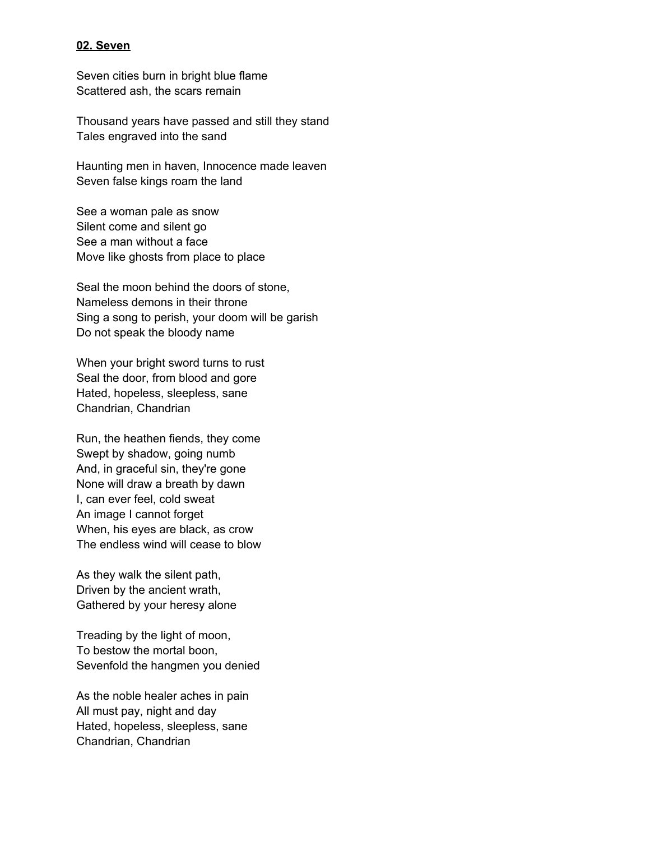### **02. Seven**

Seven cities burn in bright blue flame Scattered ash, the scars remain

Thousand years have passed and still they stand Tales engraved into the sand

Haunting men in haven, Innocence made leaven Seven false kings roam the land

See a woman pale as snow Silent come and silent go See a man without a face Move like ghosts from place to place

Seal the moon behind the doors of stone, Nameless demons in their throne Sing a song to perish, your doom will be garish Do not speak the bloody name

When your bright sword turns to rust Seal the door, from blood and gore Hated, hopeless, sleepless, sane Chandrian, Chandrian

Run, the heathen fiends, they come Swept by shadow, going numb And, in graceful sin, they're gone None will draw a breath by dawn I, can ever feel, cold sweat An image I cannot forget When, his eyes are black, as crow The endless wind will cease to blow

As they walk the silent path, Driven by the ancient wrath, Gathered by your heresy alone

Treading by the light of moon, To bestow the mortal boon, Sevenfold the hangmen you denied

As the noble healer aches in pain All must pay, night and day Hated, hopeless, sleepless, sane Chandrian, Chandrian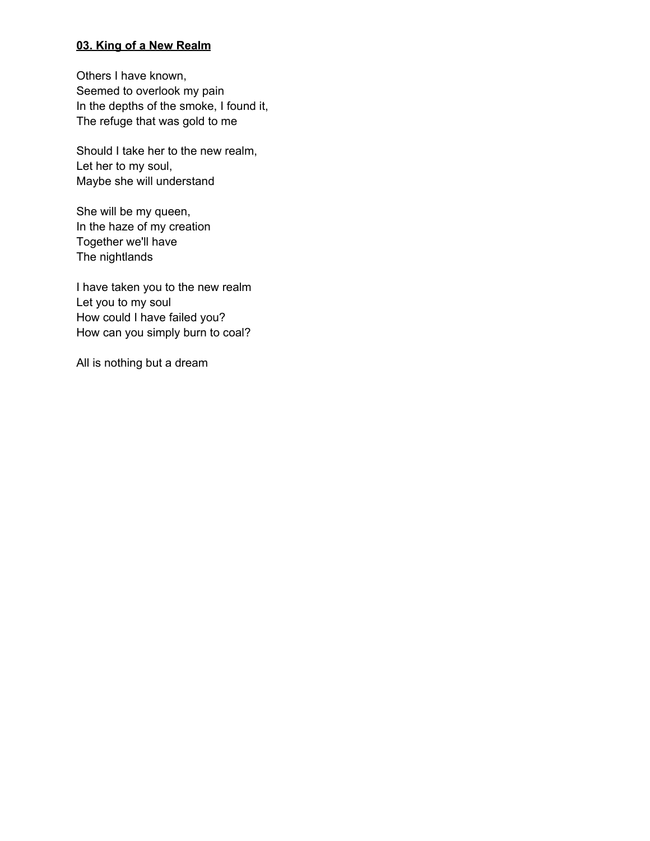# **03. King of a New Realm**

Others I have known, Seemed to overlook my pain In the depths of the smoke, I found it, The refuge that was gold to me

Should I take her to the new realm, Let her to my soul, Maybe she will understand

She will be my queen, In the haze of my creation Together we'll have The nightlands

I have taken you to the new realm Let you to my soul How could I have failed you? How can you simply burn to coal?

All is nothing but a dream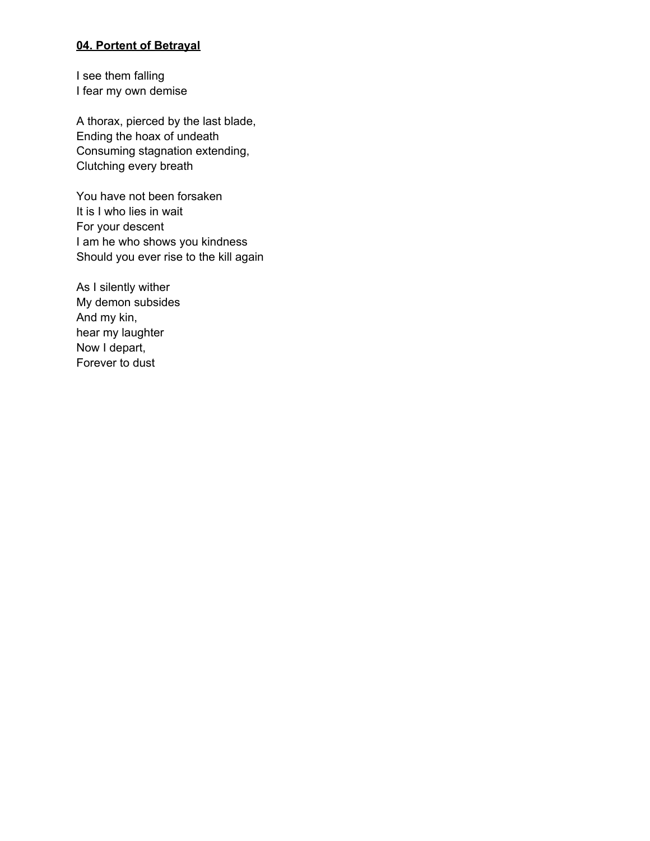### **04. Portent of Betrayal**

I see them falling I fear my own demise

A thorax, pierced by the last blade, Ending the hoax of undeath Consuming stagnation extending, Clutching every breath

You have not been forsaken It is I who lies in wait For your descent I am he who shows you kindness Should you ever rise to the kill again

As I silently wither My demon subsides And my kin, hear my laughter Now I depart, Forever to dust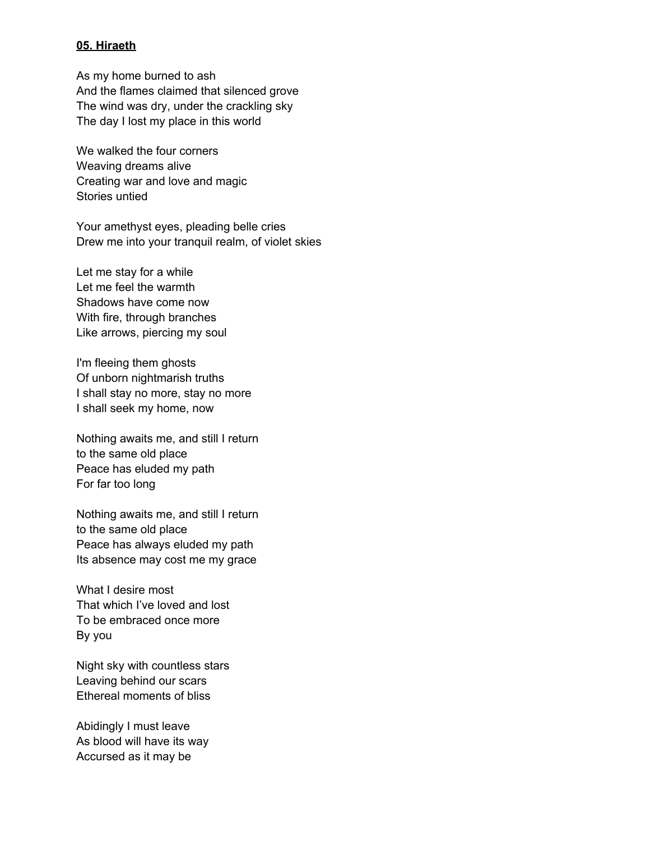### **05. Hiraeth**

As my home burned to ash And the flames claimed that silenced grove The wind was dry, under the crackling sky The day I lost my place in this world

We walked the four corners Weaving dreams alive Creating war and love and magic Stories untied

Your amethyst eyes, pleading belle cries Drew me into your tranquil realm, of violet skies

Let me stay for a while Let me feel the warmth Shadows have come now With fire, through branches Like arrows, piercing my soul

I'm fleeing them ghosts Of unborn nightmarish truths I shall stay no more, stay no more I shall seek my home, now

Nothing awaits me, and still I return to the same old place Peace has eluded my path For far too long

Nothing awaits me, and still I return to the same old place Peace has always eluded my path Its absence may cost me my grace

What I desire most That which I've loved and lost To be embraced once more By you

Night sky with countless stars Leaving behind our scars Ethereal moments of bliss

Abidingly I must leave As blood will have its way Accursed as it may be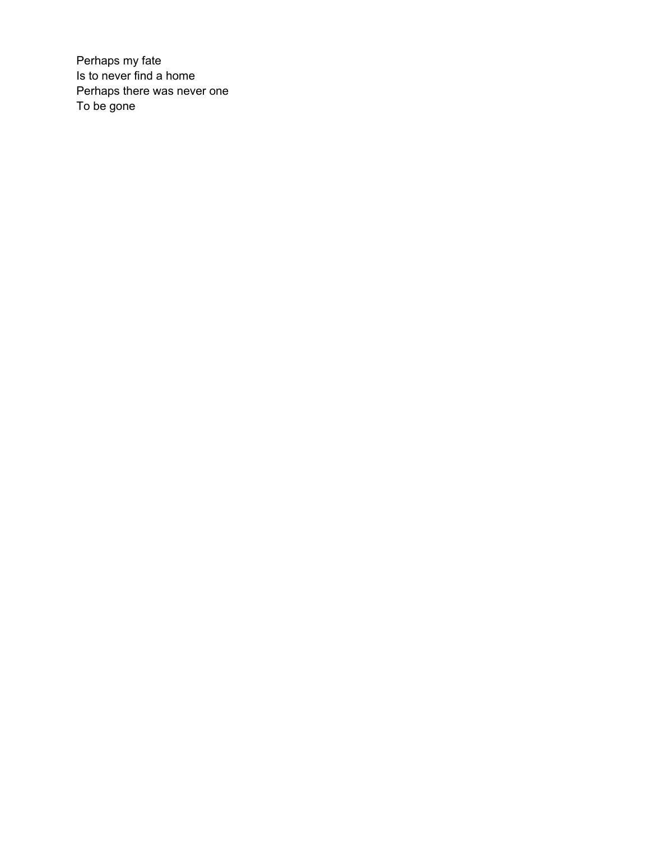Perhaps my fate Is to never find a home Perhaps there was never one To be gone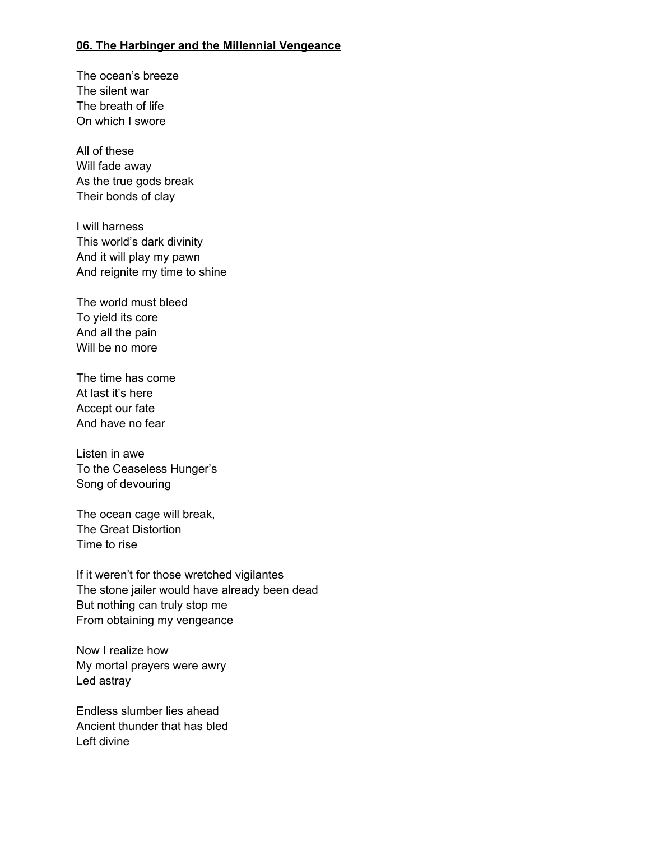#### **06. The Harbinger and the Millennial Vengeance**

The ocean's breeze The silent war The breath of life On which I swore

All of these Will fade away As the true gods break Their bonds of clay

I will harness This world's dark divinity And it will play my pawn And reignite my time to shine

The world must bleed To yield its core And all the pain Will be no more

The time has come At last it's here Accept our fate And have no fear

Listen in awe To the Ceaseless Hunger's Song of devouring

The ocean cage will break, The Great Distortion Time to rise

If it weren't for those wretched vigilantes The stone jailer would have already been dead But nothing can truly stop me From obtaining my vengeance

Now I realize how My mortal prayers were awry Led astray

Endless slumber lies ahead Ancient thunder that has bled Left divine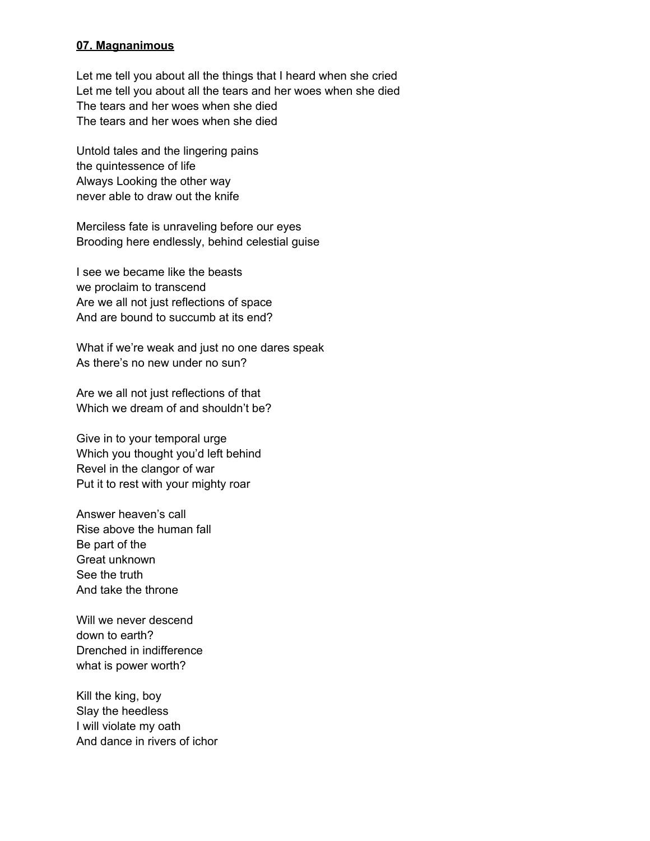### **07. Magnanimous**

Let me tell you about all the things that I heard when she cried Let me tell you about all the tears and her woes when she died The tears and her woes when she died The tears and her woes when she died

Untold tales and the lingering pains the quintessence of life Always Looking the other way never able to draw out the knife

Merciless fate is unraveling before our eyes Brooding here endlessly, behind celestial guise

I see we became like the beasts we proclaim to transcend Are we all not just reflections of space And are bound to succumb at its end?

What if we're weak and just no one dares speak As there's no new under no sun?

Are we all not just reflections of that Which we dream of and shouldn't be?

Give in to your temporal urge Which you thought you'd left behind Revel in the clangor of war Put it to rest with your mighty roar

Answer heaven's call Rise above the human fall Be part of the Great unknown See the truth And take the throne

Will we never descend down to earth? Drenched in indifference what is power worth?

Kill the king, boy Slay the heedless I will violate my oath And dance in rivers of ichor